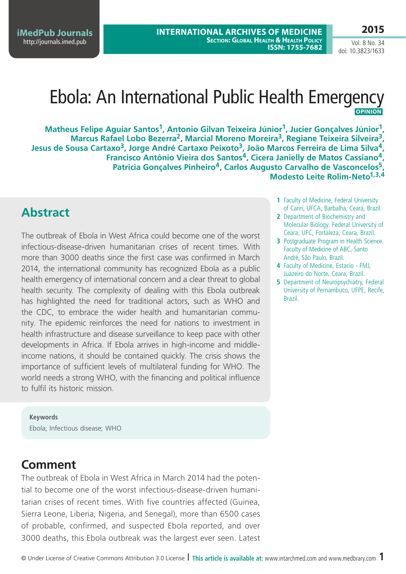**2015**

Vol. 8 No. 34 doi: 10.3823/1633

## Ebola: An International Public Health Emergency **Opinion**

**Matheus Felipe Aguiar Santos1, Antonio Gilvan Teixeira Júnior1, Jucier Gonçalves Júnior1, Marcus Rafael Lobo Bezerra2, Marcial Moreno Moreira3, Regiane Teixeira Silveira3, Jesus de Sousa Cartaxo3, Jorge André Cartaxo Peixoto3, João Marcos Ferreira de Lima Silva4, Francisco Antônio Vieira dos Santos4, Cicera Janielly de Matos Cassiano4, Patricia Gonçalves Pinheiro4, Carlos Augusto Carvalho de Vasconcelos5, Modesto Leite Rolim-Neto1,3,4**

## **Abstract**

The outbreak of Ebola in West Africa could become one of the worst infectious-disease-driven humanitarian crises of recent times. With more than 3000 deaths since the first case was confirmed in March 2014, the international community has recognized Ebola as a public health emergency of international concern and a clear threat to global health security. The complexity of dealing with this Ebola outbreak has highlighted the need for traditional actors, such as WHO and the CDC, to embrace the wider health and humanitarian community. The epidemic reinforces the need for nations to investment in health infrastructure and disease surveillance to keep pace with other developments in Africa. If Ebola arrives in high-income and middleincome nations, it should be contained quickly. The crisis shows the importance of sufficient levels of multilateral funding for WHO. The world needs a strong WHO, with the financing and political influence to fulfil its historic mission.

**Keywords** Ebola; Infectious disease; WHO

# **Comment**

The outbreak of Ebola in West Africa in March 2014 had the potential to become one of the worst infectious-disease-driven humanitarian crises of recent times. With five countries affected (Guinea, Sierra Leone, Liberia, Nigeria, and Senegal), more than 6500 cases of probable, confirmed, and suspected Ebola reported, and over 3000 deaths, this Ebola outbreak was the largest ever seen. Latest

- **1** Faculty of Medicine, Federal University of Cariri, UFCA, Barbalha, Ceará, Brazil.
- **2** Department of Biochemistry and Molecular Biology. Federal University of Ceara, UFC, Fortaleza, Ceara, Brazil.
- **3** Postgraduate Program in Health Science. Faculty of Medicine of ABC, Santo André, São Paulo, Brazil.
- **4** Faculty of Medicine, Estacio FMJ, Juazeiro do Norte, Ceara, Brazil.
- **5** Department of Neuropsychiatry, Federal University of Pernambuco, UFPE, Recife, Brazil.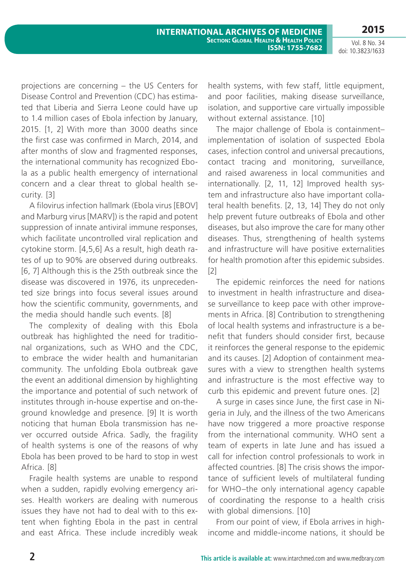**2015**

Vol. 8 No. 34 doi: 10.3823/1633

projections are concerning – the US Centers for Disease Control and Prevention (CDC) has estimated that Liberia and Sierra Leone could have up to 1.4 million cases of Ebola infection by January, 2015. [1, 2] With more than 3000 deaths since the first case was confirmed in March, 2014, and after months of slow and fragmented responses, the international community has recognized Ebola as a public health emergency of international concern and a clear threat to global health security. [3]

A filovirus infection hallmark (Ebola virus [EBOV] and Marburg virus [MARV]) is the rapid and potent suppression of innate antiviral immune responses, which facilitate uncontrolled viral replication and cytokine storm. [4,5,6] As a result, high death rates of up to 90% are observed during outbreaks. [6, 7] Although this is the 25th outbreak since the disease was discovered in 1976, its unprecedented size brings into focus several issues around how the scientific community, governments, and the media should handle such events. [8]

The complexity of dealing with this Ebola outbreak has highlighted the need for traditional organizations, such as WHO and the CDC, to embrace the wider health and humanitarian community. The unfolding Ebola outbreak gave the event an additional dimension by highlighting the importance and potential of such network of institutes through in-house expertise and on-theground knowledge and presence. [9] It is worth noticing that human Ebola transmission has never occurred outside Africa. Sadly, the fragility of health systems is one of the reasons of why Ebola has been proved to be hard to stop in west Africa. [8]

Fragile health systems are unable to respond when a sudden, rapidly evolving emergency arises. Health workers are dealing with numerous issues they have not had to deal with to this extent when fighting Ebola in the past in central and east Africa. These include incredibly weak health systems, with few staff, little equipment, and poor facilities, making disease surveillance, isolation, and supportive care virtually impossible without external assistance. [10]

The major challenge of Ebola is containment– implementation of isolation of suspected Ebola cases, infection control and universal precautions, contact tracing and monitoring, surveillance, and raised awareness in local communities and internationally. [2, 11, 12] Improved health system and infrastructure also have important collateral health benefits. [2, 13, 14] They do not only help prevent future outbreaks of Ebola and other diseases, but also improve the care for many other diseases. Thus, strengthening of health systems and infrastructure will have positive externalities for health promotion after this epidemic subsides. [2]

The epidemic reinforces the need for nations to investment in health infrastructure and disease surveillance to keep pace with other improvements in Africa. [8] Contribution to strengthening of local health systems and infrastructure is a benefit that funders should consider first, because it reinforces the general response to the epidemic and its causes. [2] Adoption of containment measures with a view to strengthen health systems and infrastructure is the most effective way to curb this epidemic and prevent future ones. [2]

A surge in cases since June, the first case in Nigeria in July, and the illness of the two Americans have now triggered a more proactive response from the international community. WHO sent a team of experts in late June and has issued a call for infection control professionals to work in affected countries. [8] The crisis shows the importance of sufficient levels of multilateral funding for WHO–the only international agency capable of coordinating the response to a health crisis with global dimensions. [10]

From our point of view, if Ebola arrives in highincome and middle-income nations, it should be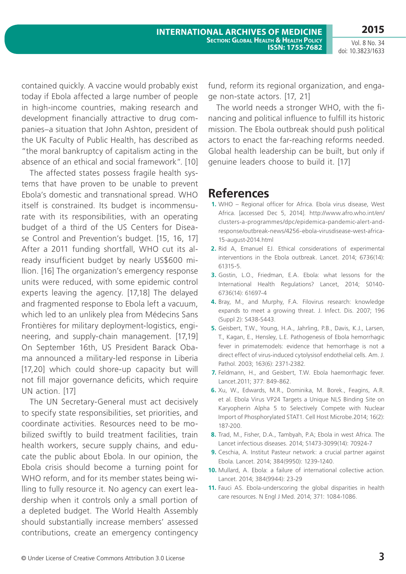Vol. 8 No. 34 doi: 10.3823/1633

contained quickly. A vaccine would probably exist today if Ebola affected a large number of people in high-income countries, making research and development financially attractive to drug companies–a situation that John Ashton, president of the UK Faculty of Public Health, has described as "the moral bankruptcy of capitalism acting in the absence of an ethical and social framework". [10]

The affected states possess fragile health systems that have proven to be unable to prevent Ebola's domestic and transnational spread. WHO itself is constrained. Its budget is incommensurate with its responsibilities, with an operating budget of a third of the US Centers for Disease Control and Prevention's budget. [15, 16, 17] After a 2011 funding shortfall, WHO cut its already insufficient budget by nearly US\$600 million. [16] The organization's emergency response units were reduced, with some epidemic control experts leaving the agency. [17,18] The delayed and fragmented response to Ebola left a vacuum, which led to an unlikely plea from Médecins Sans Frontières for military deployment-logistics, engineering, and supply-chain management. [17,19] On September 16th, US President Barack Obama announced a military-led response in Liberia [17,20] which could shore-up capacity but will not fill major governance deficits, which require UN action. [17]

The UN Secretary-General must act decisively to specify state responsibilities, set priorities, and coordinate activities. Resources need to be mobilized swiftly to build treatment facilities, train health workers, secure supply chains, and educate the public about Ebola. In our opinion, the Ebola crisis should become a turning point for WHO reform, and for its member states being willing to fully resource it. No agency can exert leadership when it controls only a small portion of a depleted budget. The World Health Assembly should substantially increase members' assessed contributions, create an emergency contingency fund, reform its regional organization, and engage non-state actors. [17, 21]

The world needs a stronger WHO, with the financing and political influence to fulfill its historic mission. The Ebola outbreak should push political actors to enact the far-reaching reforms needed. Global health leadership can be built, but only if genuine leaders choose to build it. [17]

### **References**

- **1.** WHO Regional officer for Africa. Ebola virus disease, West Africa. [accessed Dec 5, 2014]. http://www.afro.who.int/en/ clusters-a-programmes/dpc/epidemica-pandemic-alert-andresponse/outbreak-news/4256-ebola-virusdisease-west-africa-15-august-2014.html
- **2.** Rid A, Emanuel EJ. Ethical considerations of experimental interventions in the Ebola outbreak. Lancet. 2014; 6736(14): 61315-5.
- **3.** Gostin, L.O., Friedman, E.A. Ebola: what lessons for the International Health Regulations? Lancet, 2014; S0140- 6736(14): 61697-4
- **4.** Bray, M., and Murphy, F.A. Filovirus research: knowledge expands to meet a growing threat. J. Infect. Dis. 2007; 196 (Suppl 2): S438-S443.
- **5.** Geisbert, T.W., Young, H.A., Jahrling, P.B., Davis, K.J., Larsen, T., Kagan, E., Hensley, L.E. Pathogenesis of Ebola hemorrhagic fever in primatemodels: evidence that hemorrhage is not a direct effect of virus-induced cytolysisof endothelial cells. Am. J. Pathol. 2003; 163(6): 2371-2382.
- **7.** Feldmann, H., and Geisbert, T.W. Ebola haemorrhagic fever. Lancet.2011; 377: 849-862.
- **6.** Xu, W., Edwards, M.R., Dominika, M. Borek., Feagins, A.R. et al. Ebola Virus VP24 Targets a Unique NLS Binding Site on Karyopherin Alpha 5 to Selectively Compete with Nuclear Import of Phosphorylated STAT1. Cell Host Microbe.2014; 16(2): 187-200.
- **8.** Trad, M., Fisher, D.A., Tambyah, P.A; Ebola in west Africa. The Lancet infectious diseases. 2014; S1473-3099(14): 70924-7
- **9.** Ceschia, A. Institut Pasteur network: a crucial partner against Ebola. Lancet. 2014; 384(9950): 1239-1240.
- **10.** Mullard, A. Ebola: a failure of international collective action. Lancet. 2014; 384(9944): 23-29
- **11.** Fauci AS. Ebola-underscoring the global disparities in health care resources. N Engl J Med. 2014; 371: 1084-1086.